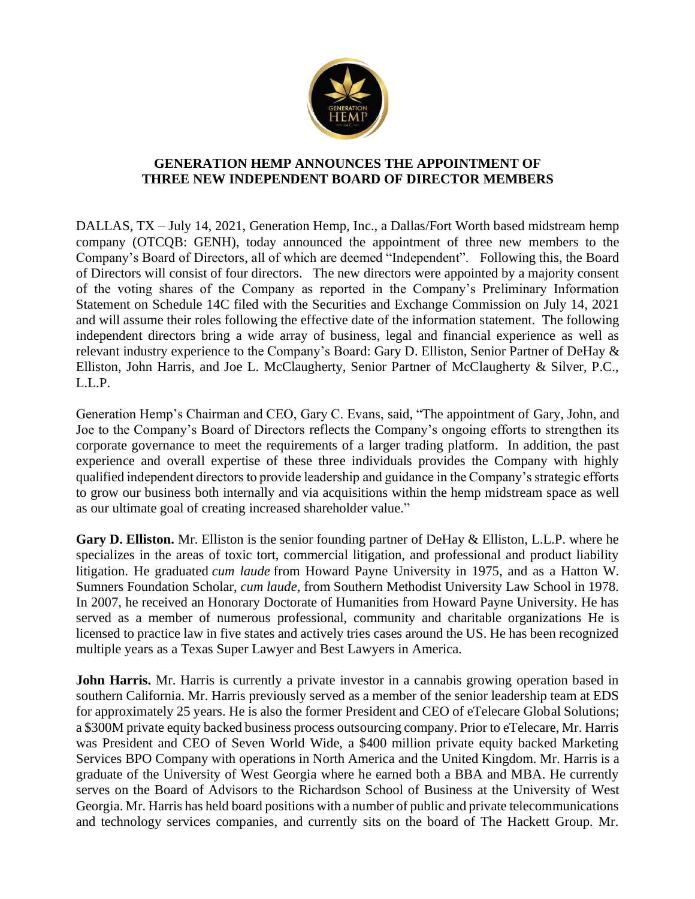

## **GENERATION HEMP ANNOUNCES THE APPOINTMENT OF THREE NEW INDEPENDENT BOARD OF DIRECTOR MEMBERS**

DALLAS, TX – July 14, 2021, Generation Hemp, Inc., a Dallas/Fort Worth based midstream hemp company (OTCQB: GENH), today announced the appointment of three new members to the Company's Board of Directors, all of which are deemed "Independent". Following this, the Board of Directors will consist of four directors. The new directors were appointed by a majority consent of the voting shares of the Company as reported in the Company's Preliminary Information Statement on Schedule 14C filed with the Securities and Exchange Commission on July 14, 2021 and will assume their roles following the effective date of the information statement. The following independent directors bring a wide array of business, legal and financial experience as well as relevant industry experience to the Company's Board: Gary D. Elliston, Senior Partner of DeHay & Elliston, John Harris, and Joe L. McClaugherty, Senior Partner of McClaugherty & Silver, P.C., L.L.P.

Generation Hemp's Chairman and CEO, Gary C. Evans, said, "The appointment of Gary, John, and Joe to the Company's Board of Directors reflects the Company's ongoing efforts to strengthen its corporate governance to meet the requirements of a larger trading platform. In addition, the past experience and overall expertise of these three individuals provides the Company with highly qualified independent directors to provide leadership and guidance in the Company's strategic efforts to grow our business both internally and via acquisitions within the hemp midstream space as well as our ultimate goal of creating increased shareholder value."

**Gary D. Elliston.** Mr. Elliston is the senior founding partner of DeHay & Elliston, L.L.P. where he specializes in the areas of toxic tort, commercial litigation, and professional and product liability litigation. He graduated *cum laude* from Howard Payne University in 1975, and as a Hatton W. Sumners Foundation Scholar, *cum laude*, from Southern Methodist University Law School in 1978. In 2007, he received an Honorary Doctorate of Humanities from Howard Payne University. He has served as a member of numerous professional, community and charitable organizations He is licensed to practice law in five states and actively tries cases around the US. He has been recognized multiple years as a Texas Super Lawyer and Best Lawyers in America.

**John Harris.** Mr. Harris is currently a private investor in a cannabis growing operation based in southern California. Mr. Harris previously served as a member of the senior leadership team at EDS for approximately 25 years. He is also the former President and CEO of eTelecare Global Solutions; a \$300M private equity backed business process outsourcing company. Prior to eTelecare, Mr. Harris was President and CEO of Seven World Wide, a \$400 million private equity backed Marketing Services BPO Company with operations in North America and the United Kingdom. Mr. Harris is a graduate of the University of West Georgia where he earned both a BBA and MBA. He currently serves on the Board of Advisors to the Richardson School of Business at the University of West Georgia. Mr. Harris has held board positions with a number of public and private telecommunications and technology services companies, and currently sits on the board of The Hackett Group. Mr.